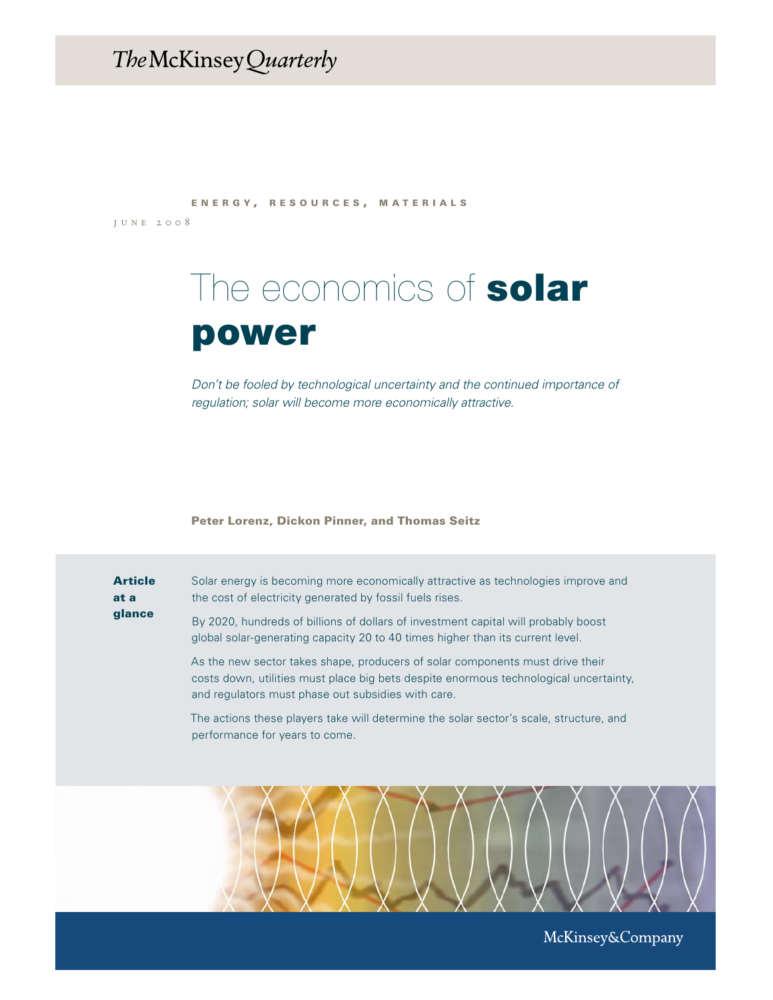# The McKinsey Quarterly

june 2008 e n e r g y , r e s o u r c e s , m a t e r i a l s

# The economics of solar power

*Don't be fooled by technological uncertainty and the continued importance of regulation; solar will become more economically attractive.*

Peter Lorenz, Dickon Pinner, and Thomas Seitz

Solar energy is becoming more economically attractive as technologies improve and the cost of electricity generated by fossil fuels rises. Article at a glance

By 2020, hundreds of billions of dollars of investment capital will probably boost global solar-generating capacity 20 to 40 times higher than its current level.

As the new sector takes shape, producers of solar components must drive their costs down, utilities must place big bets despite enormous technological uncertainty, and regulators must phase out subsidies with care.

The actions these players take will determine the solar sector's scale, structure, and performance for years to come.



McKinsey&Company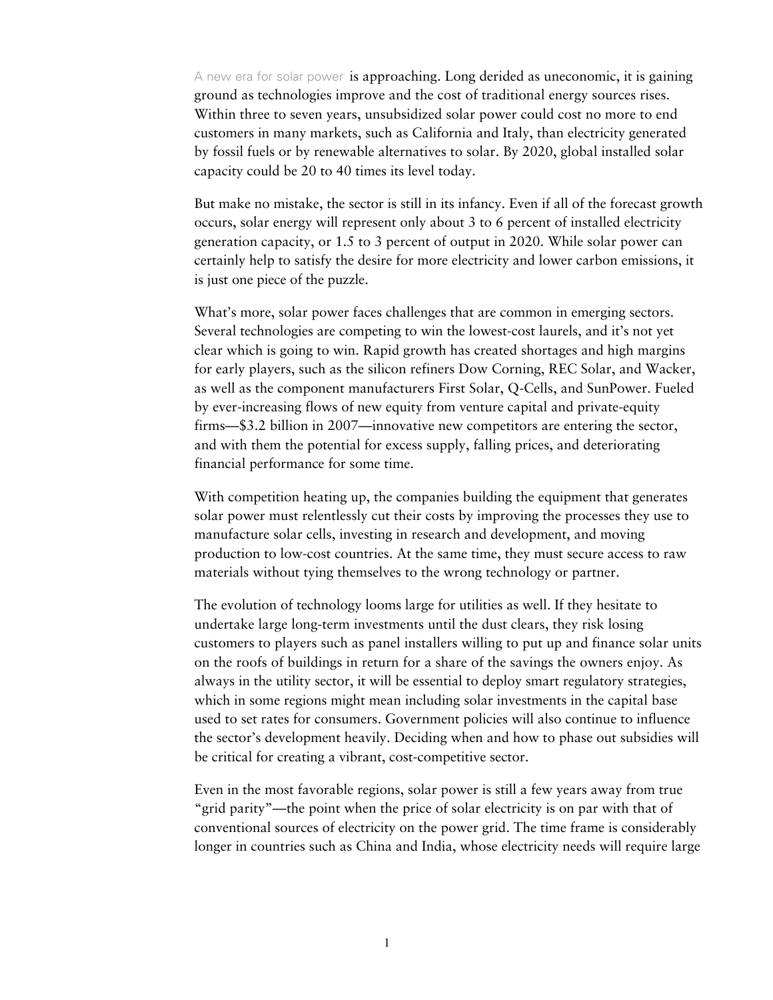A new era for solar power is approaching. Long derided as uneconomic, it is gaining ground as technologies improve and the cost of traditional energy sources rises. Within three to seven years, unsubsidized solar power could cost no more to end customers in many markets, such as California and Italy, than electricity generated by fossil fuels or by renewable alternatives to solar. By 2020, global installed solar capacity could be 20 to 40 times its level today.

But make no mistake, the sector is still in its infancy. Even if all of the forecast growth occurs, solar energy will represent only about 3 to 6 percent of installed electricity generation capacity, or 1.5 to 3 percent of output in 2020. While solar power can certainly help to satisfy the desire for more electricity and lower carbon emissions, it is just one piece of the puzzle.

What's more, solar power faces challenges that are common in emerging sectors. Several technologies are competing to win the lowest-cost laurels, and it's not yet clear which is going to win. Rapid growth has created shortages and high margins for early players, such as the silicon refiners Dow Corning, REC Solar, and Wacker, as well as the component manufacturers First Solar, Q-Cells, and SunPower. Fueled by ever-increasing flows of new equity from venture capital and private-equity firms—\$3.2 billion in 2007—innovative new competitors are entering the sector, and with them the potential for excess supply, falling prices, and deteriorating financial performance for some time.

With competition heating up, the companies building the equipment that generates solar power must relentlessly cut their costs by improving the processes they use to manufacture solar cells, investing in research and development, and moving production to low-cost countries. At the same time, they must secure access to raw materials without tying themselves to the wrong technology or partner.

The evolution of technology looms large for utilities as well. If they hesitate to undertake large long-term investments until the dust clears, they risk losing customers to players such as panel installers willing to put up and finance solar units on the roofs of buildings in return for a share of the savings the owners enjoy. As always in the utility sector, it will be essential to deploy smart regulatory strategies, which in some regions might mean including solar investments in the capital base used to set rates for consumers. Government policies will also continue to influence the sector's development heavily. Deciding when and how to phase out subsidies will be critical for creating a vibrant, cost-competitive sector.

Even in the most favorable regions, solar power is still a few years away from true "grid parity"—the point when the price of solar electricity is on par with that of conventional sources of electricity on the power grid. The time frame is considerably longer in countries such as China and India, whose electricity needs will require large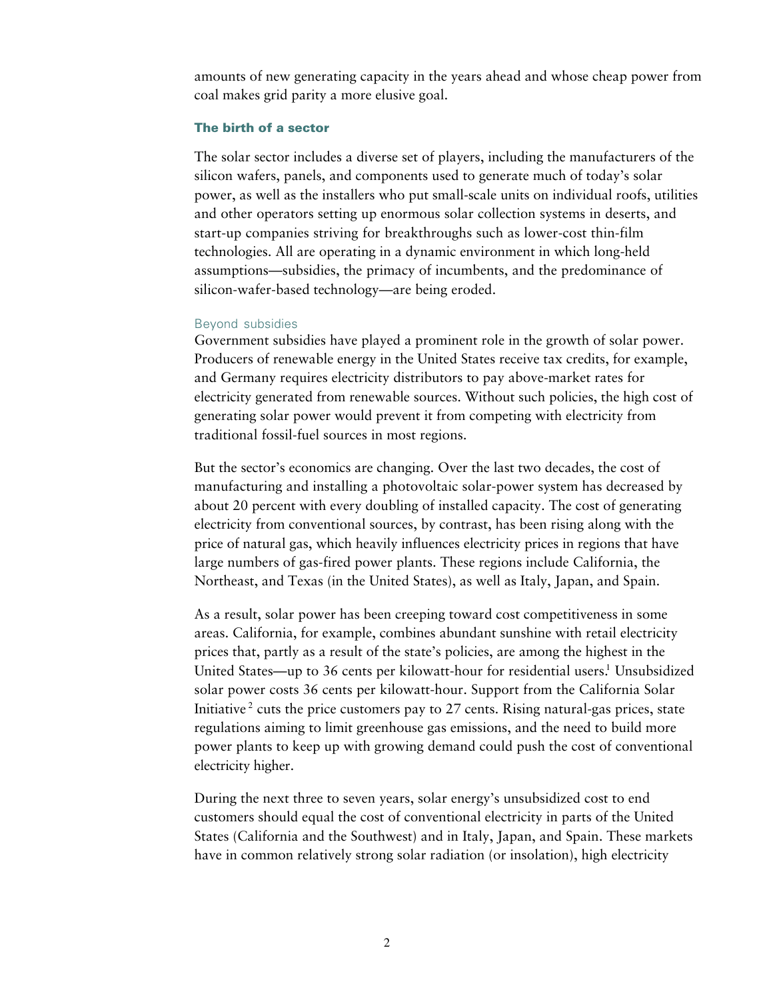amounts of new generating capacity in the years ahead and whose cheap power from coal makes grid parity a more elusive goal.

# The birth of a sector

The solar sector includes a diverse set of players, including the manufacturers of the silicon wafers, panels, and components used to generate much of today's solar power, as well as the installers who put small-scale units on individual roofs, utilities and other operators setting up enormous solar collection systems in deserts, and start-up companies striving for breakthroughs such as lower-cost thin-film technologies. All are operating in a dynamic environment in which long-held assumptions—subsidies, the primacy of incumbents, and the predominance of silicon-wafer-based technology—are being eroded.

#### Beyond subsidies

Government subsidies have played a prominent role in the growth of solar power. Producers of renewable energy in the United States receive tax credits, for example, and Germany requires electricity distributors to pay above-market rates for electricity generated from renewable sources. Without such policies, the high cost of generating solar power would prevent it from competing with electricity from traditional fossil-fuel sources in most regions.

But the sector's economics are changing. Over the last two decades, the cost of manufacturing and installing a photovoltaic solar-power system has decreased by about 20 percent with every doubling of installed capacity. The cost of generating electricity from conventional sources, by contrast, has been rising along with the price of natural gas, which heavily influences electricity prices in regions that have large numbers of gas-fired power plants. These regions include California, the Northeast, and Texas (in the United States), as well as Italy, Japan, and Spain.

As a result, solar power has been creeping toward cost competitiveness in some areas. California, for example, combines abundant sunshine with retail electricity prices that, partly as a result of the state's policies, are among the highest in the United States—up to 36 cents per kilowatt-hour for residential users.<sup>1</sup> Unsubsidized solar power costs 36 cents per kilowatt-hour. Support from the California Solar Initiative<sup>2</sup> cuts the price customers pay to  $27$  cents. Rising natural-gas prices, state regulations aiming to limit greenhouse gas emissions, and the need to build more power plants to keep up with growing demand could push the cost of conventional electricity higher.

During the next three to seven years, solar energy's unsubsidized cost to end customers should equal the cost of conventional electricity in parts of the United States (California and the Southwest) and in Italy, Japan, and Spain. These markets have in common relatively strong solar radiation (or insolation), high electricity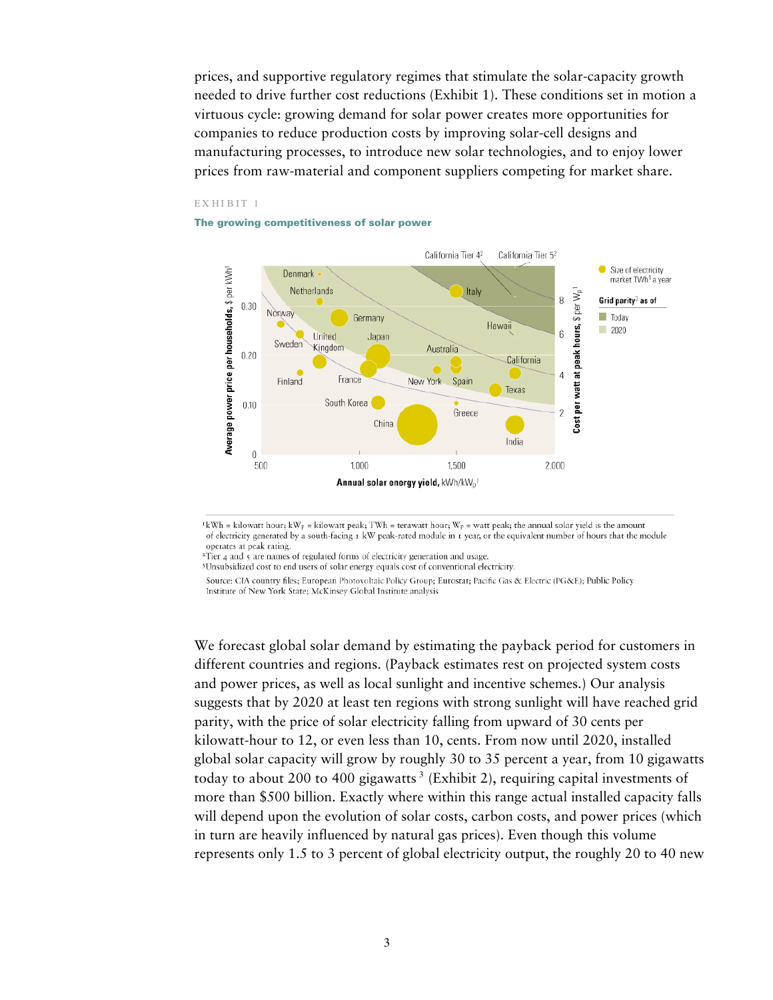prices, and supportive regulatory regimes that stimulate the solar-capacity growth needed to drive further cost reductions (Exhibit 1). These conditions set in motion a virtuous cycle: growing demand for solar power creates more opportunities for companies to reduce production costs by improving solar-cell designs and manufacturing processes, to introduce new solar technologies, and to enjoy lower prices from raw-material and component suppliers competing for market share.

#### EXHIBIT 1





<sup>1</sup>kWh = kilowatt hour; kW<sub>P</sub> = kilowatt peak; TWh = terawatt hour; W<sub>P</sub> = watt peak; the annual solar yield is the amount of electricity generated by a south-facing 1 kW peak-rated module in 1 year, or the equivalent number of hours that the module operates at peak rating.

 $2$ Tier 4 and  $\frac{1}{5}$  are names of regulated forms of electricity generation and usage.

<sup>3</sup>Unsubsidized cost to end users of solar energy equals cost of conventional electricity.

Source: CIA country files; European Photovoltaic Policy Group; Eurostat; Pacific Gas & Electric (PG&E); Public Policy Institute of New York State; McKinsey Global Institute analysis

We forecast global solar demand by estimating the payback period for customers in different countries and regions. (Payback estimates rest on projected system costs and power prices, as well as local sunlight and incentive schemes.) Our analysis suggests that by 2020 at least ten regions with strong sunlight will have reached grid parity, with the price of solar electricity falling from upward of 30 cents per kilowatt-hour to 12, or even less than 10, cents. From now until 2020, installed global solar capacity will grow by roughly 30 to 35 percent a year, from 10 gigawatts today to about 200 to 400 gigawatts <sup>3</sup> (Exhibit 2), requiring capital investments of more than \$500 billion. Exactly where within this range actual installed capacity falls will depend upon the evolution of solar costs, carbon costs, and power prices (which in turn are heavily influenced by natural gas prices). Even though this volume represents only 1.5 to 3 percent of global electricity output, the roughly 20 to 40 new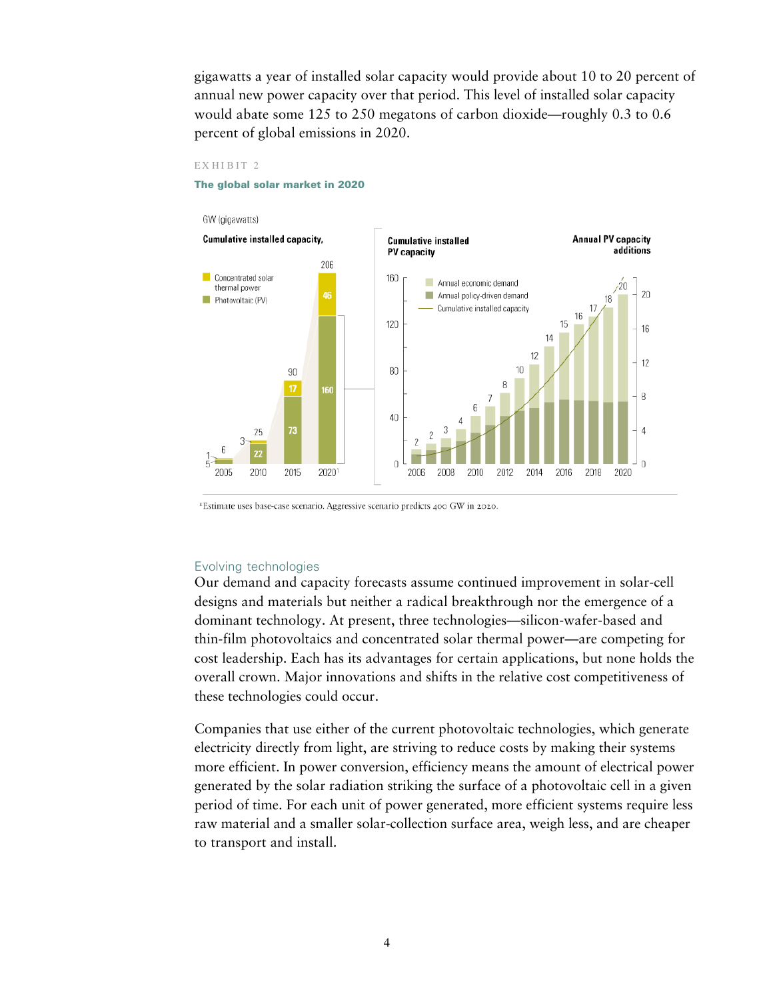gigawatts a year of installed solar capacity would provide about 10 to 20 percent of annual new power capacity over that period. This level of installed solar capacity would abate some 125 to 250 megatons of carbon dioxide—roughly 0.3 to 0.6 percent of global emissions in 2020.

#### EXHIBIT 2

#### The global solar market in 2020



<sup>1</sup>Estimate uses base-case scenario. Aggressive scenario predicts 400 GW in 2020.

#### Evolving technologies

Our demand and capacity forecasts assume continued improvement in solar-cell designs and materials but neither a radical breakthrough nor the emergence of a dominant technology. At present, three technologies—silicon-wafer-based and thin-film photovoltaics and concentrated solar thermal power—are competing for cost leadership. Each has its advantages for certain applications, but none holds the overall crown. Major innovations and shifts in the relative cost competitiveness of these technologies could occur.

Companies that use either of the current photovoltaic technologies, which generate electricity directly from light, are striving to reduce costs by making their systems more efficient. In power conversion, efficiency means the amount of electrical power generated by the solar radiation striking the surface of a photovoltaic cell in a given period of time. For each unit of power generated, more efficient systems require less raw material and a smaller solar-collection surface area, weigh less, and are cheaper to transport and install.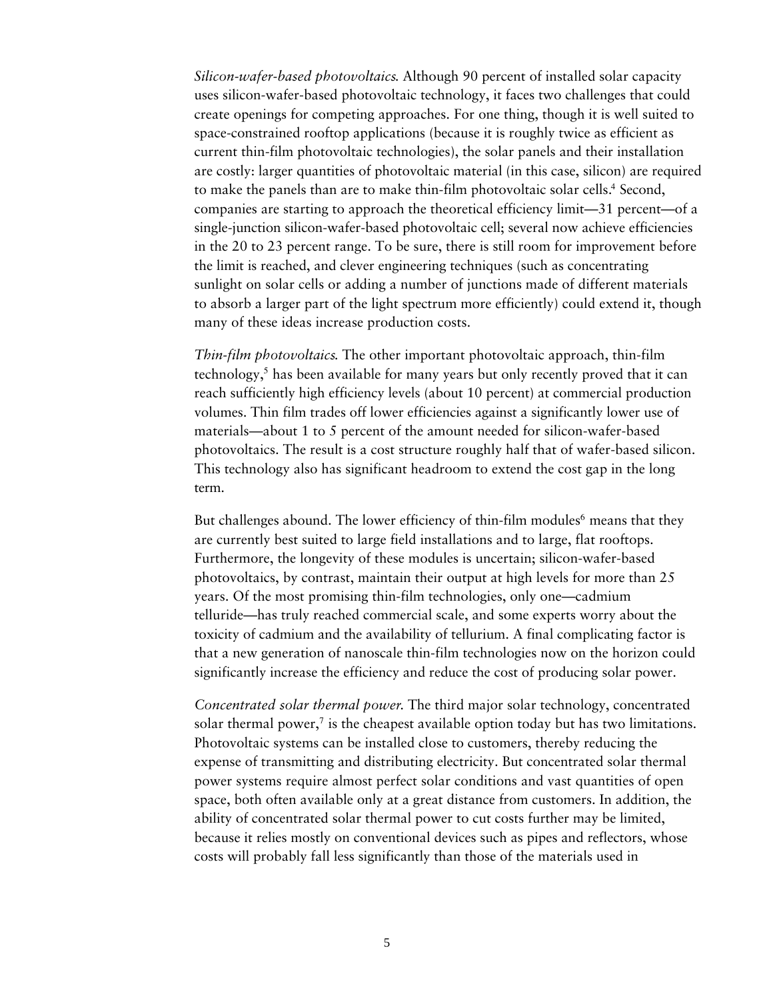*Silicon-wafer-based photovoltaics*. Although 90 percent of installed solar capacity uses silicon-wafer-based photovoltaic technology, it faces two challenges that could create openings for competing approaches. For one thing, though it is well suited to space-constrained rooftop applications (because it is roughly twice as efficient as current thin-film photovoltaic technologies), the solar panels and their installation are costly: larger quantities of photovoltaic material (in this case, silicon) are required to make the panels than are to make thin-film photovoltaic solar cells.<sup>4</sup> Second, companies are starting to approach the theoretical efficiency limit—31 percent—of a single-junction silicon-wafer-based photovoltaic cell; several now achieve efficiencies in the 20 to 23 percent range. To be sure, there is still room for improvement before the limit is reached, and clever engineering techniques (such as concentrating sunlight on solar cells or adding a number of junctions made of different materials to absorb a larger part of the light spectrum more efficiently) could extend it, though many of these ideas increase production costs.

*Thin-film photovoltaics*. The other important photovoltaic approach, thin-film technology,<sup>5</sup> has been available for many years but only recently proved that it can reach sufficiently high efficiency levels (about 10 percent) at commercial production volumes. Thin film trades off lower efficiencies against a significantly lower use of materials—about 1 to 5 percent of the amount needed for silicon-wafer-based photovoltaics. The result is a cost structure roughly half that of wafer-based silicon. This technology also has significant headroom to extend the cost gap in the long term.

But challenges abound. The lower efficiency of thin-film modules<sup>6</sup> means that they are currently best suited to large field installations and to large, flat rooftops. Furthermore, the longevity of these modules is uncertain; silicon-wafer-based photovoltaics, by contrast, maintain their output at high levels for more than 25 years. Of the most promising thin-film technologies, only one—cadmium telluride—has truly reached commercial scale, and some experts worry about the toxicity of cadmium and the availability of tellurium. A final complicating factor is that a new generation of nanoscale thin-film technologies now on the horizon could significantly increase the efficiency and reduce the cost of producing solar power.

*Concentrated solar thermal power*. The third major solar technology, concentrated solar thermal power, $^7$  is the cheapest available option today but has two limitations. Photovoltaic systems can be installed close to customers, thereby reducing the expense of transmitting and distributing electricity. But concentrated solar thermal power systems require almost perfect solar conditions and vast quantities of open space, both often available only at a great distance from customers. In addition, the ability of concentrated solar thermal power to cut costs further may be limited, because it relies mostly on conventional devices such as pipes and reflectors, whose costs will probably fall less significantly than those of the materials used in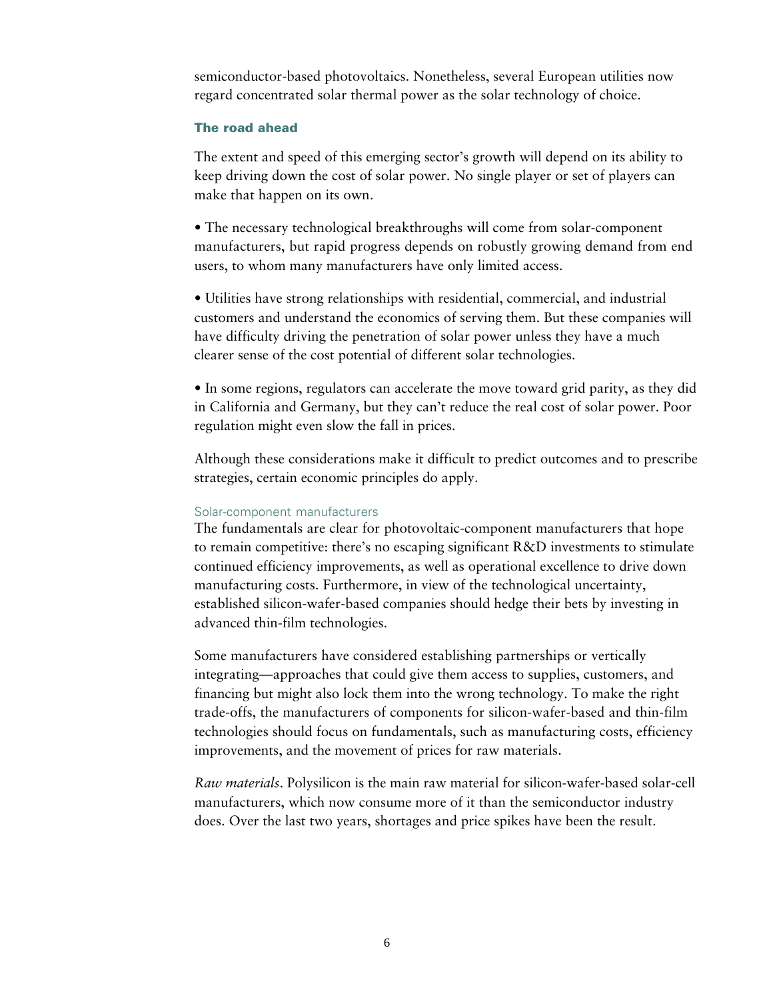semiconductor-based photovoltaics. Nonetheless, several European utilities now regard concentrated solar thermal power as the solar technology of choice.

# The road ahead

The extent and speed of this emerging sector's growth will depend on its ability to keep driving down the cost of solar power. No single player or set of players can make that happen on its own.

• The necessary technological breakthroughs will come from solar-component manufacturers, but rapid progress depends on robustly growing demand from end users, to whom many manufacturers have only limited access.

• Utilities have strong relationships with residential, commercial, and industrial customers and understand the economics of serving them. But these companies will have difficulty driving the penetration of solar power unless they have a much clearer sense of the cost potential of different solar technologies.

• In some regions, regulators can accelerate the move toward grid parity, as they did in California and Germany, but they can't reduce the real cost of solar power. Poor regulation might even slow the fall in prices.

Although these considerations make it difficult to predict outcomes and to prescribe strategies, certain economic principles do apply.

# Solar-component manufacturers

The fundamentals are clear for photovoltaic-component manufacturers that hope to remain competitive: there's no escaping significant R&D investments to stimulate continued efficiency improvements, as well as operational excellence to drive down manufacturing costs. Furthermore, in view of the technological uncertainty, established silicon-wafer-based companies should hedge their bets by investing in advanced thin-film technologies.

Some manufacturers have considered establishing partnerships or vertically integrating—approaches that could give them access to supplies, customers, and financing but might also lock them into the wrong technology. To make the right trade-offs, the manufacturers of components for silicon-wafer-based and thin-film technologies should focus on fundamentals, such as manufacturing costs, efficiency improvements, and the movement of prices for raw materials.

*Raw materials*. Polysilicon is the main raw material for silicon-wafer-based solar-cell manufacturers, which now consume more of it than the semiconductor industry does. Over the last two years, shortages and price spikes have been the result.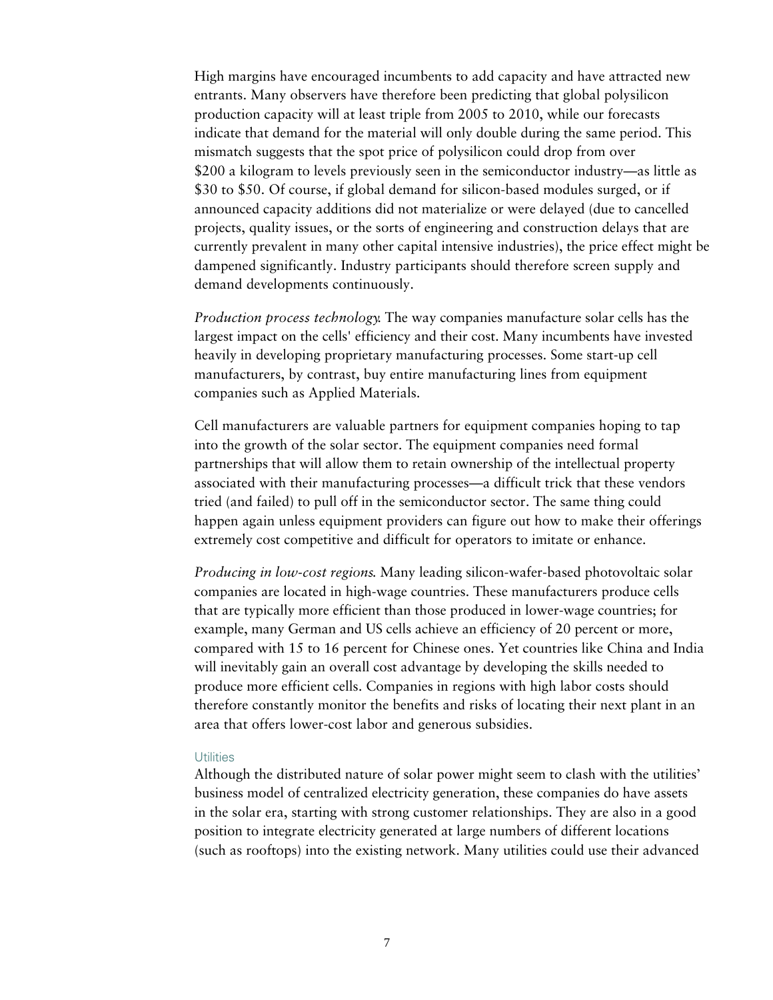High margins have encouraged incumbents to add capacity and have attracted new entrants. Many observers have therefore been predicting that global polysilicon production capacity will at least triple from 2005 to 2010, while our forecasts indicate that demand for the material will only double during the same period. This mismatch suggests that the spot price of polysilicon could drop from over \$200 a kilogram to levels previously seen in the semiconductor industry—as little as \$30 to \$50. Of course, if global demand for silicon-based modules surged, or if announced capacity additions did not materialize or were delayed (due to cancelled projects, quality issues, or the sorts of engineering and construction delays that are currently prevalent in many other capital intensive industries), the price effect might be dampened significantly. Industry participants should therefore screen supply and demand developments continuously.

*Production process technology*. The way companies manufacture solar cells has the largest impact on the cells' efficiency and their cost. Many incumbents have invested heavily in developing proprietary manufacturing processes. Some start-up cell manufacturers, by contrast, buy entire manufacturing lines from equipment companies such as Applied Materials.

Cell manufacturers are valuable partners for equipment companies hoping to tap into the growth of the solar sector. The equipment companies need formal partnerships that will allow them to retain ownership of the intellectual property associated with their manufacturing processes—a difficult trick that these vendors tried (and failed) to pull off in the semiconductor sector. The same thing could happen again unless equipment providers can figure out how to make their offerings extremely cost competitive and difficult for operators to imitate or enhance.

*Producing in low-cost regions*. Many leading silicon-wafer-based photovoltaic solar companies are located in high-wage countries. These manufacturers produce cells that are typically more efficient than those produced in lower-wage countries; for example, many German and US cells achieve an efficiency of 20 percent or more, compared with 15 to 16 percent for Chinese ones. Yet countries like China and India will inevitably gain an overall cost advantage by developing the skills needed to produce more efficient cells. Companies in regions with high labor costs should therefore constantly monitor the benefits and risks of locating their next plant in an area that offers lower-cost labor and generous subsidies.

#### **Utilities**

Although the distributed nature of solar power might seem to clash with the utilities' business model of centralized electricity generation, these companies do have assets in the solar era, starting with strong customer relationships. They are also in a good position to integrate electricity generated at large numbers of different locations (such as rooftops) into the existing network. Many utilities could use their advanced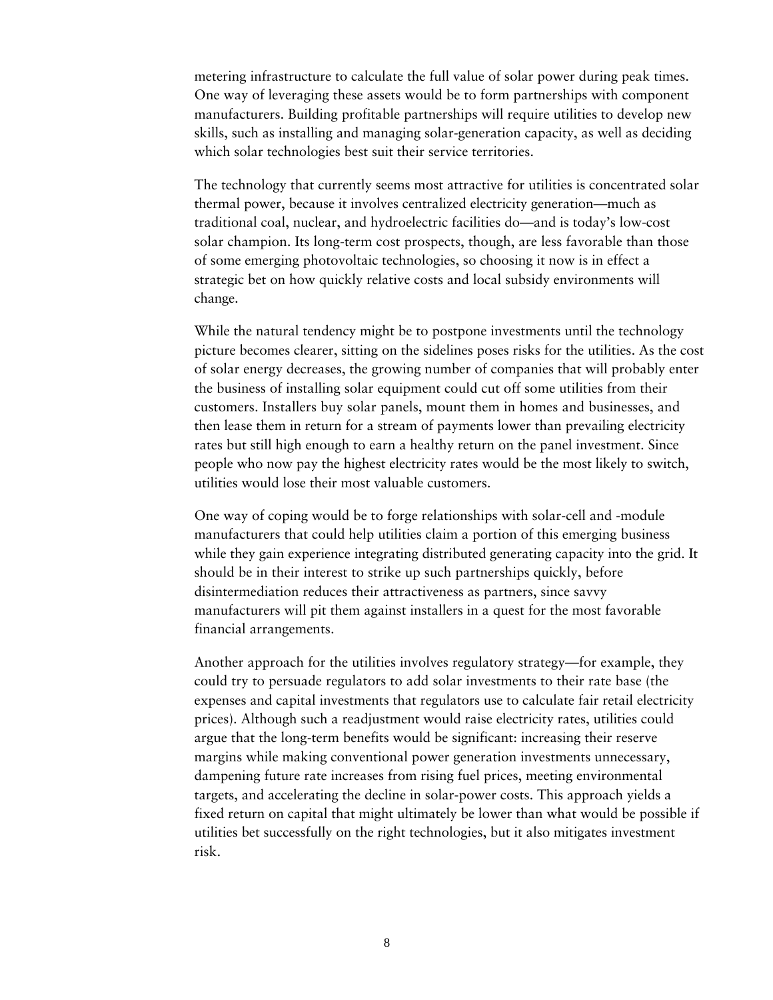metering infrastructure to calculate the full value of solar power during peak times. One way of leveraging these assets would be to form partnerships with component manufacturers. Building profitable partnerships will require utilities to develop new skills, such as installing and managing solar-generation capacity, as well as deciding which solar technologies best suit their service territories.

The technology that currently seems most attractive for utilities is concentrated solar thermal power, because it involves centralized electricity generation—much as traditional coal, nuclear, and hydroelectric facilities do—and is today's low-cost solar champion. Its long-term cost prospects, though, are less favorable than those of some emerging photovoltaic technologies, so choosing it now is in effect a strategic bet on how quickly relative costs and local subsidy environments will change.

While the natural tendency might be to postpone investments until the technology picture becomes clearer, sitting on the sidelines poses risks for the utilities. As the cost of solar energy decreases, the growing number of companies that will probably enter the business of installing solar equipment could cut off some utilities from their customers. Installers buy solar panels, mount them in homes and businesses, and then lease them in return for a stream of payments lower than prevailing electricity rates but still high enough to earn a healthy return on the panel investment. Since people who now pay the highest electricity rates would be the most likely to switch, utilities would lose their most valuable customers.

One way of coping would be to forge relationships with solar-cell and -module manufacturers that could help utilities claim a portion of this emerging business while they gain experience integrating distributed generating capacity into the grid. It should be in their interest to strike up such partnerships quickly, before disintermediation reduces their attractiveness as partners, since savvy manufacturers will pit them against installers in a quest for the most favorable financial arrangements.

Another approach for the utilities involves regulatory strategy—for example, they could try to persuade regulators to add solar investments to their rate base (the expenses and capital investments that regulators use to calculate fair retail electricity prices). Although such a readjustment would raise electricity rates, utilities could argue that the long-term benefits would be significant: increasing their reserve margins while making conventional power generation investments unnecessary, dampening future rate increases from rising fuel prices, meeting environmental targets, and accelerating the decline in solar-power costs. This approach yields a fixed return on capital that might ultimately be lower than what would be possible if utilities bet successfully on the right technologies, but it also mitigates investment risk.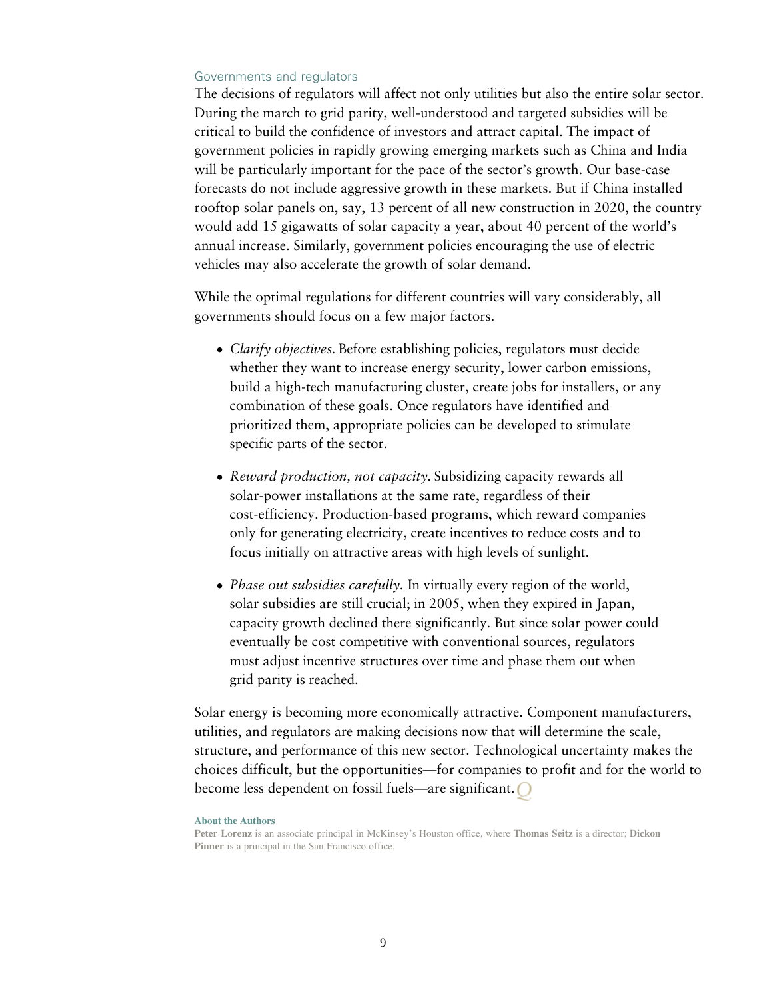# Governments and regulators

The decisions of regulators will affect not only utilities but also the entire solar sector. During the march to grid parity, well-understood and targeted subsidies will be critical to build the confidence of investors and attract capital. The impact of government policies in rapidly growing emerging markets such as China and India will be particularly important for the pace of the sector's growth. Our base-case forecasts do not include aggressive growth in these markets. But if China installed rooftop solar panels on, say, 13 percent of all new construction in 2020, the country would add 15 gigawatts of solar capacity a year, about 40 percent of the world's annual increase. Similarly, government policies encouraging the use of electric vehicles may also accelerate the growth of solar demand.

While the optimal regulations for different countries will vary considerably, all governments should focus on a few major factors.

- *Clarify objectives.* Before establishing policies, regulators must decide whether they want to increase energy security, lower carbon emissions, build a high-tech manufacturing cluster, create jobs for installers, or any combination of these goals. Once regulators have identified and prioritized them, appropriate policies can be developed to stimulate specific parts of the sector.
- *Reward production, not capacity.* Subsidizing capacity rewards all solar-power installations at the same rate, regardless of their cost-efficiency. Production-based programs, which reward companies only for generating electricity, create incentives to reduce costs and to focus initially on attractive areas with high levels of sunlight.
- *Phase out subsidies carefully.* In virtually every region of the world, solar subsidies are still crucial; in 2005, when they expired in Japan, capacity growth declined there significantly. But since solar power could eventually be cost competitive with conventional sources, regulators must adjust incentive structures over time and phase them out when grid parity is reached.

Solar energy is becoming more economically attractive. Component manufacturers, utilities, and regulators are making decisions now that will determine the scale, structure, and performance of this new sector. Technological uncertainty makes the choices difficult, but the opportunities—for companies to profit and for the world to become less dependent on fossil fuels—are significant.

#### **About the Authors**

**Peter Lorenz** is an associate principal in McKinsey's Houston office, where **Thomas Seitz** is a director; **Dickon Pinner** is a principal in the San Francisco office.